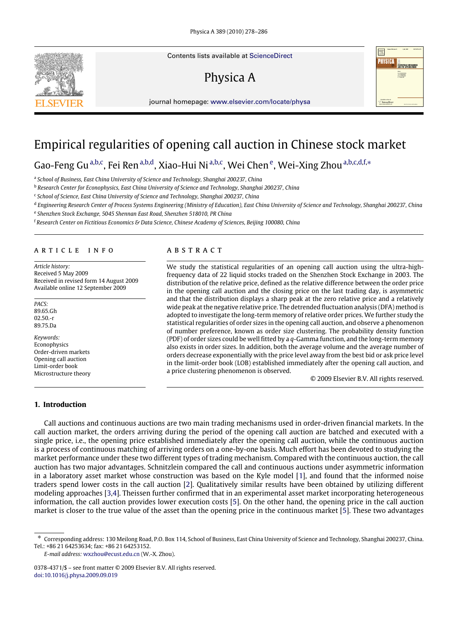Contents lists available at [ScienceDirect](http://www.elsevier.com/locate/physa)

# Physica A



## Empirical regularities of opening call auction in Chinese stock market

G[a](#page-0-0)o-Feng Gu<sup>a[,b,](#page-0-1)[c](#page-0-2)</sup>, Fei Ren<sup>a,b,[d](#page-0-3)</sup>, Xiao-Hui Ni<sup>[a,](#page-0-0)[b](#page-0-1)[,c](#page-0-2)</sup>, W[e](#page-0-4)i Chen<sup>e</sup>, Wei-Xing Zhou<sup>a,b[,c,](#page-0-2)d[,f,](#page-0-5)</sup>\*

<span id="page-0-0"></span><sup>a</sup> School of Business, East China University of Science and Technology, Shanghai 200237, China

<span id="page-0-1"></span><sup>b</sup> *Research Center for Econophysics, East China University of Science and Technology, Shanghai 200237, China*

<span id="page-0-2"></span>c *School of Science, East China University of Science and Technology, Shanghai 200237, China*

<span id="page-0-3"></span>d *Engineering Research Center of Process Systems Engineering (Ministry of Education), East China University of Science and Technology, Shanghai 200237, China*

<span id="page-0-4"></span>e *Shenzhen Stock Exchange, 5045 Shennan East Road, Shenzhen 518010, PR China*

<span id="page-0-5"></span><sup>f</sup> *Research Center on Fictitious Economics & Data Science, Chinese Academy of Sciences, Beijing 100080, China*

#### a r t i c l e i n f o

*Article history:* Received 5 May 2009 Received in revised form 14 August 2009 Available online 12 September 2009

*PACS:* 89.65.Gh 02.50.-r 89.75.Da

*Keywords:* Econophysics Order-driven markets Opening call auction Limit-order book Microstructure theory

### **1. Introduction**

### a b s t r a c t

We study the statistical regularities of an opening call auction using the ultra-highfrequency data of 22 liquid stocks traded on the Shenzhen Stock Exchange in 2003. The distribution of the relative price, defined as the relative difference between the order price in the opening call auction and the closing price on the last trading day, is asymmetric and that the distribution displays a sharp peak at the zero relative price and a relatively wide peak at the negative relative price. The detrended fluctuation analysis (DFA) method is adopted to investigate the long-term memory of relative order prices. We further study the statistical regularities of order sizes in the opening call auction, and observe a phenomenon of number preference, known as order size clustering. The probability density function (PDF) of order sizes could be well fitted by a *q*-Gamma function, and the long-term memory also exists in order sizes. In addition, both the average volume and the average number of orders decrease exponentially with the price level away from the best bid or ask price level in the limit-order book (LOB) established immediately after the opening call auction, and a price clustering phenomenon is observed.

© 2009 Elsevier B.V. All rights reserved.

Call auctions and continuous auctions are two main trading mechanisms used in order-driven financial markets. In the call auction market, the orders arriving during the period of the opening call auction are batched and executed with a single price, i.e., the opening price established immediately after the opening call auction, while the continuous auction is a process of continuous matching of arriving orders on a one-by-one basis. Much effort has been devoted to studying the market performance under these two different types of trading mechanism. Compared with the continuous auction, the call auction has two major advantages. Schnitzlein compared the call and continuous auctions under asymmetric information in a laboratory asset market whose construction was based on the Kyle model [\[1\]](#page--1-0), and found that the informed noise traders spend lower costs in the call auction [\[2\]](#page--1-1). Qualitatively similar results have been obtained by utilizing different modeling approaches [\[3,](#page--1-2)[4\]](#page--1-3). Theissen further confirmed that in an experimental asset market incorporating heterogeneous information, the call auction provides lower execution costs [\[5\]](#page--1-4). On the other hand, the opening price in the call auction market is closer to the true value of the asset than the opening price in the continuous market [\[5\]](#page--1-4). These two advantages

*E-mail address:* [wxzhou@ecust.edu.cn](mailto:wxzhou@ecust.edu.cn) (W.-X. Zhou).





<span id="page-0-6"></span><sup>∗</sup> Corresponding address: 130 Meilong Road, P.O. Box 114, School of Business, East China University of Science and Technology, Shanghai 200237, China. Tel.: +86 21 64253634; fax: +86 21 64253152.

<sup>0378-4371/\$ –</sup> see front matter © 2009 Elsevier B.V. All rights reserved. [doi:10.1016/j.physa.2009.09.019](http://dx.doi.org/10.1016/j.physa.2009.09.019)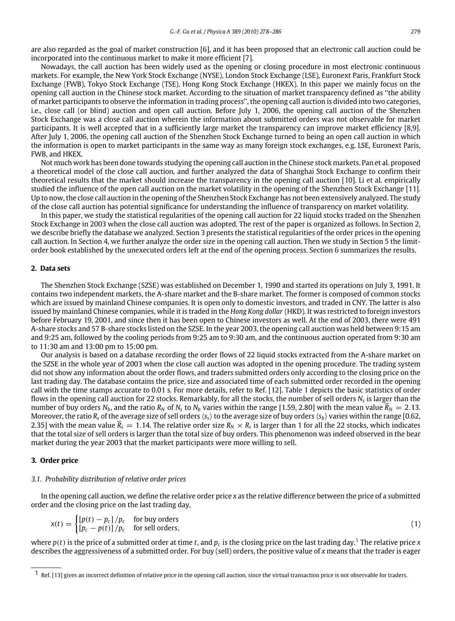are also regarded as the goal of market construction [\[6\]](#page--1-5), and it has been proposed that an electronic call auction could be incorporated into the continuous market to make it more efficient [\[7\]](#page--1-6).

Nowadays, the call auction has been widely used as the opening or closing procedure in most electronic continuous markets. For example, the New York Stock Exchange (NYSE), London Stock Exchange (LSE), Euronext Paris, Frankfurt Stock Exchange (FWB), Tokyo Stock Exchange (TSE), Hong Kong Stock Exchange (HKEX). In this paper we mainly focus on the opening call auction in the Chinese stock market. According to the situation of market transparency defined as ''the ability of market participants to observe the information in trading process'', the opening call auction is divided into two categories, i.e., close call (or blind) auction and open call auction. Before July 1, 2006, the opening call auction of the Shenzhen Stock Exchange was a close call auction wherein the information about submitted orders was not observable for market participants. It is well accepted that in a sufficiently large market the transparency can improve market efficiency [\[8,](#page--1-7)[9\]](#page--1-8). After July 1, 2006, the opening call auction of the Shenzhen Stock Exchange turned to being an open call auction in which the information is open to market participants in the same way as many foreign stock exchanges, e.g. LSE, Euronext Paris, FWB, and HKEX.

Not much work has been done towards studying the opening call auction in the Chinese stock markets. Pan et al. proposed a theoretical model of the close call auction, and further analyzed the data of Shanghai Stock Exchange to confirm their theoretical results that the market should increase the transparency in the opening call auction [\[10\]](#page--1-9). Li et al. empirically studied the influence of the open call auction on the market volatility in the opening of the Shenzhen Stock Exchange [\[11\]](#page--1-10). Up to now, the close call auction in the opening of the Shenzhen Stock Exchange has not been extensively analyzed. The study of the close call auction has potential significance for understanding the influence of transparency on market volatility.

In this paper, we study the statistical regularities of the opening call auction for 22 liquid stocks traded on the Shenzhen Stock Exchange in 2003 when the close call auction was adopted. The rest of the paper is organized as follows. In Section [2,](#page-1-0) we describe briefly the database we analyzed. Section [3](#page-1-1) presents the statistical regularities of the order prices in the opening call auction. In Section [4,](#page--1-11) we further analyze the order size in the opening call auction. Then we study in Section [5](#page--1-12) the limitorder book established by the unexecuted orders left at the end of the opening process. Section [6](#page--1-13) summarizes the results.

#### <span id="page-1-0"></span>**2. Data sets**

The Shenzhen Stock Exchange (SZSE) was established on December 1, 1990 and started its operations on July 3, 1991. It contains two independent markets, the A-share market and the B-share market. The former is composed of common stocks which are issued by mainland Chinese companies. It is open only to domestic investors, and traded in CNY. The latter is also issued by mainland Chinese companies, while it is traded in the *Hong Kong dollar* (HKD). It was restricted to foreign investors before February 19, 2001, and since then it has been open to Chinese investors as well. At the end of 2003, there were 491 A-share stocks and 57 B-share stocks listed on the SZSE. In the year 2003, the opening call auction was held between 9:15 am and 9:25 am, followed by the cooling periods from 9:25 am to 9:30 am, and the continuous auction operated from 9:30 am to 11:30 am and 13:00 pm to 15:00 pm.

Our analysis is based on a database recording the order flows of 22 liquid stocks extracted from the A-share market on the SZSE in the whole year of 2003 when the close call auction was adopted in the opening procedure. The trading system did not show any information about the order flows, and traders submitted orders only according to the closing price on the last trading day. The database contains the price, size and associated time of each submitted order recorded in the opening call with the time stamps accurate to 0.01 s. For more details, refer to Ref. [\[12\]](#page--1-14). [Table 1](#page--1-15) depicts the basic statistics of order flows in the opening call auction for 22 stocks. Remarkably, for all the stocks, the number of sell orders *N<sup>s</sup>* is larger than the number of buy orders  $N_b$ , and the ratio  $R_N$  of  $N_s$  to  $N_b$  varies within the range [1.59, 2.80] with the mean value  $\overline{R}_N = 2.13$ . Moreover, the ratio  $R_s$  of the average size of sell orders  $\langle s_s \rangle$  to the average size of buy orders  $\langle s_b \rangle$  varies within the range [0.62, 2.35] with the mean value  $\overline R_s=1.14$ . The relative order size  $R_N\times R_s$  is larger than 1 for all the 22 stocks, which indicates that the total size of sell orders is larger than the total size of buy orders. This phenomenon was indeed observed in the bear market during the year 2003 that the market participants were more willing to sell.

### <span id="page-1-1"></span>**3. Order price**

#### *3.1. Probability distribution of relative order prices*

In the opening call auction, we define the relative order price *x* as the relative difference between the price of a submitted order and the closing price on the last trading day,

$$
x(t) = \begin{cases} [p(t) - p_c] / p_c & \text{for buy orders} \\ [p_c - p(t)] / p_c & \text{for sell orders,} \end{cases}
$$
 (1)

where  $p(t)$  is the price of a submitted order at time  $t$ , and  $p_c$  is the closing price on the last trading day.<sup>[1](#page-1-2)</sup> The relative price *x* describes the aggressiveness of a submitted order. For buy (sell) orders, the positive value of *x* means that the trader is eager

<span id="page-1-2"></span> $1$  Ref. [\[13\]](#page--1-16) gives an incorrect definition of relative price in the opening call auction, since the virtual transaction price is not observable for traders.